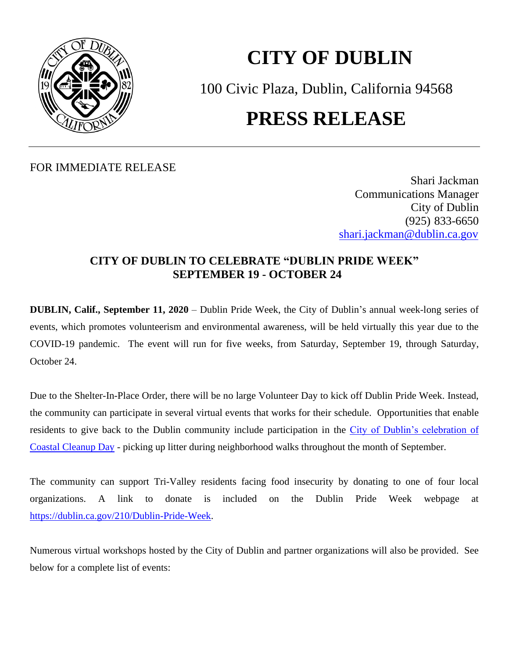

# **CITY OF DUBLIN**

100 Civic Plaza, Dublin, California 94568 **PRESS RELEASE**

FOR IMMEDIATE RELEASE

Shari Jackman Communications Manager City of Dublin (925) 833-6650 [shari.jackman@dublin.ca.gov](mailto:shari.jackman@dublin.ca.gov)

# **CITY OF DUBLIN TO CELEBRATE "DUBLIN PRIDE WEEK" SEPTEMBER 19 - OCTOBER 24**

**DUBLIN, Calif., September 11, 2020** – Dublin Pride Week, the City of Dublin's annual week-long series of events, which promotes volunteerism and environmental awareness, will be held virtually this year due to the COVID-19 pandemic. The event will run for five weeks, from Saturday, September 19, through Saturday, October 24.

Due to the Shelter-In-Place Order, there will be no large Volunteer Day to kick off Dublin Pride Week. Instead, the community can participate in several virtual events that works for their schedule. Opportunities that enable residents to give back to the Dublin community include participation in the [City of Dublin's celebration of](https://dublin.ca.gov/993/Coastal-Cleanup-2020)  [Coastal Cleanup Day](https://dublin.ca.gov/993/Coastal-Cleanup-2020) - picking up litter during neighborhood walks throughout the month of September.

The community can support Tri-Valley residents facing food insecurity by donating to one of four local organizations. A link to donate is included on the Dublin Pride Week webpage at [https://dublin.ca.gov/210/Dublin-Pride-Week.](https://dublin.ca.gov/210/Dublin-Pride-Week)

Numerous virtual workshops hosted by the City of Dublin and partner organizations will also be provided. See below for a complete list of events: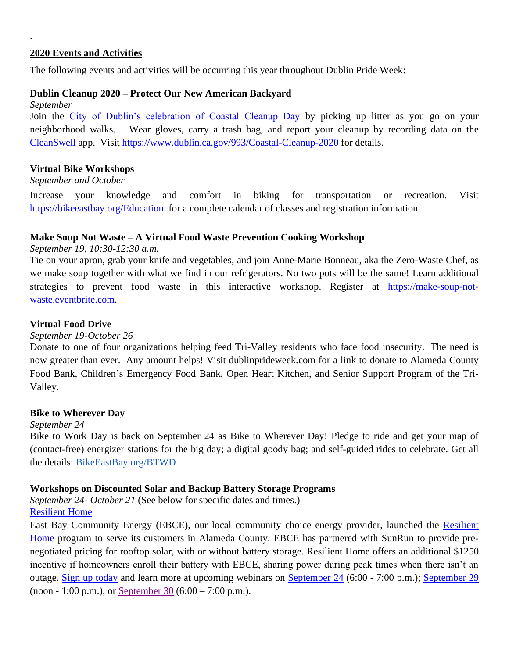# **2020 Events and Activities**

.

The following events and activities will be occurring this year throughout Dublin Pride Week:

#### **Dublin Cleanup 2020 – Protect Our New American Backyard**

*September* Join the [City of Dublin's celebration of Coastal Cleanup Day](https://dublin.ca.gov/993/Coastal-Cleanup-2020) by picking up litter as you go on your neighborhood walks. Wear gloves, carry a trash bag, and report your cleanup by recording data on the [CleanSwell](https://oceanconservancy.org/trash-free-seas/international-coastal-cleanup/cleanswell/) app. Visit <https://www.dublin.ca.gov/993/Coastal-Cleanup-2020> for details.

#### **Virtual Bike Workshops**

#### *September and October*

Increase your knowledge and comfort in biking for transportation or recreation. Visit <https://bikeeastbay.org/Education> for a complete calendar of classes and registration information.

# **Make Soup Not Waste – A Virtual Food Waste Prevention Cooking Workshop**

*September 19, 10:30-12:30 a.m.*

Tie on your apron, grab your knife and vegetables, and join Anne-Marie Bonneau, aka the Zero-Waste Chef, as we make soup together with what we find in our refrigerators. No two pots will be the same! Learn additional strategies to prevent food waste in this interactive workshop. Register at [https://make-soup-not](https://make-soup-not-waste.eventbrite.com/)[waste.eventbrite.com.](https://make-soup-not-waste.eventbrite.com/)

#### **Virtual Food Drive**

*September 19-October 26*

Donate to one of four organizations helping feed Tri-Valley residents who face food insecurity. The need is now greater than ever. Any amount helps! Visit dublinprideweek.com for a link to donate to Alameda County Food Bank, Children's Emergency Food Bank, Open Heart Kitchen, and Senior Support Program of the Tri-Valley.

#### **[Bike to Wherever Day](https://bikeeastbay.org/events/bike-wherever-day-2020)**

#### *September 24*

Bike to Work Day is back on September 24 as Bike to Wherever Day! [Pledge to ride](http://bikeeastbay.org/btwd) and get your map of (contact-free) energizer stations for the big day; a digital goody bag; and self-guided rides to celebrate. Get all the details: [BikeEastBay.org/BTWD](http://bikeeastbay.org/btwd)

#### **Workshops on Discounted Solar and Backup Battery Storage Programs**

*September 24- October 21* (See below for specific dates and times.) [Resilient Home](https://nam04.safelinks.protection.outlook.com/?url=https%3A%2F%2Furldefense.proofpoint.com%2Fv2%2Furl%3Fu%3Dhttps-3A__ebce.org_resilient-2Dhome_%26d%3DDwMFAg%26c%3D6ZboKdJzR8nZOqwBjhPnCw%26r%3DdyCzuLDxAs4JI1VqUXfOq2lShFXrYfJsONGPOSDdmCY%26m%3DT6CQVKFiapoqV38hE0Mb0w8NLv6Se3u4r0iUBclPbVY%26s%3D7iEmi6FAF7dLBpsDx4pAaj6Qymv5RU5pDdzVthEwn1o%26e%3D&data=01%7C01%7CRebecca.Parnes%40dublin.ca.gov%7Cd6ae0effdbec4c5df1c308d855c8a928%7Cdf5ae3f9dd3c45ebb10ab1406e0aed6f%7C0&sdata=IYwcRXqX%2BjdikXlPOnFn3yhQkX0d3AMwscZcuNpLSZ0%3D&reserved=0)

East Bay Community Energy (EBCE), our local community choice energy provider, launched the Resilient [Home](https://nam04.safelinks.protection.outlook.com/?url=https%3A%2F%2Furldefense.proofpoint.com%2Fv2%2Furl%3Fu%3Dhttps-3A__ebce.org_resilient-2Dhome_%26d%3DDwMFAg%26c%3D6ZboKdJzR8nZOqwBjhPnCw%26r%3DdyCzuLDxAs4JI1VqUXfOq2lShFXrYfJsONGPOSDdmCY%26m%3DT6CQVKFiapoqV38hE0Mb0w8NLv6Se3u4r0iUBclPbVY%26s%3D7iEmi6FAF7dLBpsDx4pAaj6Qymv5RU5pDdzVthEwn1o%26e%3D&data=01%7C01%7CRebecca.Parnes%40dublin.ca.gov%7Cd6ae0effdbec4c5df1c308d855c8a928%7Cdf5ae3f9dd3c45ebb10ab1406e0aed6f%7C0&sdata=IYwcRXqX%2BjdikXlPOnFn3yhQkX0d3AMwscZcuNpLSZ0%3D&reserved=0) program to serve its customers in Alameda County. EBCE has partnered with SunRun to provide prenegotiated pricing for rooftop solar, with or without battery storage. Resilient Home offers an additional \$1250 incentive if homeowners enroll their battery with EBCE, sharing power during peak times when there isn't an outage. [Sign up today](https://nam04.safelinks.protection.outlook.com/?url=https%3A%2F%2Furldefense.proofpoint.com%2Fv2%2Furl%3Fu%3Dhttps-3A__ebce.org_resilient-2Dhome_%26d%3DDwMFAg%26c%3D6ZboKdJzR8nZOqwBjhPnCw%26r%3DdyCzuLDxAs4JI1VqUXfOq2lShFXrYfJsONGPOSDdmCY%26m%3DT6CQVKFiapoqV38hE0Mb0w8NLv6Se3u4r0iUBclPbVY%26s%3D7iEmi6FAF7dLBpsDx4pAaj6Qymv5RU5pDdzVthEwn1o%26e%3D&data=01%7C01%7CRebecca.Parnes%40dublin.ca.gov%7Cd6ae0effdbec4c5df1c308d855c8a928%7Cdf5ae3f9dd3c45ebb10ab1406e0aed6f%7C0&sdata=IYwcRXqX%2BjdikXlPOnFn3yhQkX0d3AMwscZcuNpLSZ0%3D&reserved=0) and learn more at upcoming webinars on [September 24](https://nam04.safelinks.protection.outlook.com/?url=https%3A%2F%2Furldefense.proofpoint.com%2Fv2%2Furl%3Fu%3Dhttps-3A__www.eventbrite.com_e_virtual-2Dworkshop-2Don-2Debces-2Dnew-2Dincentive-2Dfor-2Dhome-2Dsolar-2Dbattery-2Dbackup-2Dtickets-2D118698148357%26d%3DDwMFAg%26c%3D6ZboKdJzR8nZOqwBjhPnCw%26r%3DdyCzuLDxAs4JI1VqUXfOq2lShFXrYfJsONGPOSDdmCY%26m%3DT6CQVKFiapoqV38hE0Mb0w8NLv6Se3u4r0iUBclPbVY%26s%3DOWcj6B4v0nSCzCvnqzJ2bgELHaASeiCTjLs5v6_NO7M%26e%3D&data=01%7C01%7CRebecca.Parnes%40dublin.ca.gov%7Cd6ae0effdbec4c5df1c308d855c8a928%7Cdf5ae3f9dd3c45ebb10ab1406e0aed6f%7C0&sdata=qmevU%2FQQHYIuCd%2FEKHi9w9gTskVMwEqzkfYUvWWrXQs%3D&reserved=0) (6:00 - 7:00 p.m.); [September 29](https://nam04.safelinks.protection.outlook.com/?url=https%3A%2F%2Furldefense.proofpoint.com%2Fv2%2Furl%3Fu%3Dhttps-3A__www.eventbrite.com_e_virtual-2Dworkshop-2Don-2Debces-2Dnew-2Dincentive-2Dfor-2Dhome-2Dsolar-2Dbattery-2Dbackup-2Dtickets-2D118700878523%26d%3DDwMFAg%26c%3D6ZboKdJzR8nZOqwBjhPnCw%26r%3DdyCzuLDxAs4JI1VqUXfOq2lShFXrYfJsONGPOSDdmCY%26m%3DT6CQVKFiapoqV38hE0Mb0w8NLv6Se3u4r0iUBclPbVY%26s%3DiSRJ6DXujPqPWT4D3QDloNAAeOlpDVKG2iK8SZrx008%26e%3D&data=01%7C01%7CRebecca.Parnes%40dublin.ca.gov%7Cd6ae0effdbec4c5df1c308d855c8a928%7Cdf5ae3f9dd3c45ebb10ab1406e0aed6f%7C0&sdata=6gezUhG6mketnxCiQuZNAEJWEM73Q7GT4oa1mpCTs80%3D&reserved=0) (noon - 1:00 p.m.), or [September 30](https://nam04.safelinks.protection.outlook.com/?url=https%3A%2F%2Furldefense.proofpoint.com%2Fv2%2Furl%3Fu%3Dhttps-3A__www.eventbrite.com_e_virtual-2Dworkshop-2Don-2Debces-2Dnew-2Dincentive-2Dfor-2Dhome-2Dsolar-2Dbattery-2Dbackup-2Dtickets-2D118702033979%26d%3DDwMFAg%26c%3D6ZboKdJzR8nZOqwBjhPnCw%26r%3DdyCzuLDxAs4JI1VqUXfOq2lShFXrYfJsONGPOSDdmCY%26m%3DT6CQVKFiapoqV38hE0Mb0w8NLv6Se3u4r0iUBclPbVY%26s%3DCltg3PoWoYFcVjslB5d4shC9LHteO6v4x7Oogdc2fek%26e%3D&data=01%7C01%7CRebecca.Parnes%40dublin.ca.gov%7Cd6ae0effdbec4c5df1c308d855c8a928%7Cdf5ae3f9dd3c45ebb10ab1406e0aed6f%7C0&sdata=HFDwQED%2B9g1m%2BJOnfULyEe%2FQT0XDwjTOKsC8x%2FCDQkI%3D&reserved=0) (6:00 – 7:00 p.m.).